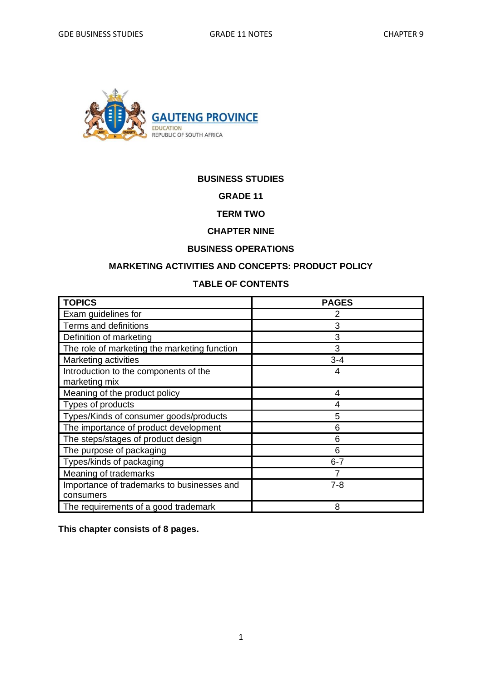

#### **BUSINESS STUDIES**

#### **GRADE 11**

#### **TERM TWO**

### **CHAPTER NINE**

#### **BUSINESS OPERATIONS**

#### **MARKETING ACTIVITIES AND CONCEPTS: PRODUCT POLICY**

#### **TABLE OF CONTENTS**

| <b>TOPICS</b>                                | <b>PAGES</b> |
|----------------------------------------------|--------------|
| Exam guidelines for                          |              |
| Terms and definitions                        | 3            |
| Definition of marketing                      | 3            |
| The role of marketing the marketing function | 3            |
| Marketing activities                         | $3 - 4$      |
| Introduction to the components of the        | 4            |
| marketing mix                                |              |
| Meaning of the product policy                | 4            |
| Types of products                            |              |
| Types/Kinds of consumer goods/products       | 5            |
| The importance of product development        | 6            |
| The steps/stages of product design           | 6            |
| The purpose of packaging                     | 6            |
| Types/kinds of packaging                     | $6 - 7$      |
| Meaning of trademarks                        |              |
| Importance of trademarks to businesses and   | $7 - 8$      |
| consumers                                    |              |
| The requirements of a good trademark         | 8            |

**This chapter consists of 8 pages.**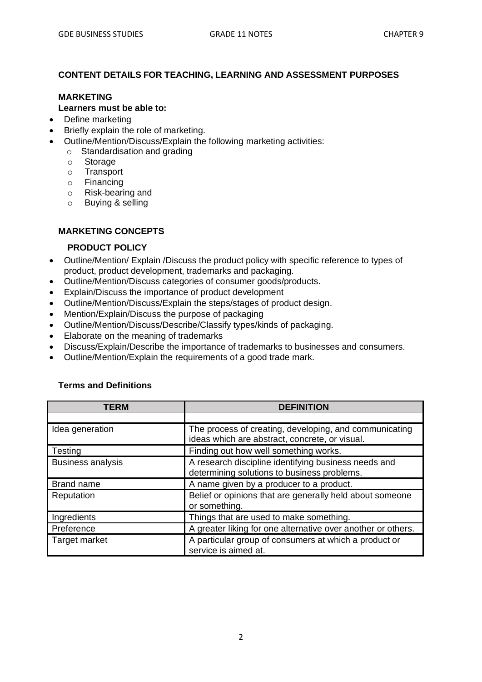#### **CONTENT DETAILS FOR TEACHING, LEARNING AND ASSESSMENT PURPOSES**

#### **MARKETING**

#### **Learners must be able to:**

- Define marketing
- Briefly explain the role of marketing.
- Outline/Mention/Discuss/Explain the following marketing activities:
	- o Standardisation and grading
		- o Storage
		- o Transport
		- o Financing
		- o Risk-bearing and
		- o Buying & selling

#### **MARKETING CONCEPTS**

#### **PRODUCT POLICY**

- Outline/Mention/ Explain /Discuss the product policy with specific reference to types of product, product development, trademarks and packaging.
- Outline/Mention/Discuss categories of consumer goods/products.
- Explain/Discuss the importance of product development
- Outline/Mention/Discuss/Explain the steps/stages of product design.
- Mention/Explain/Discuss the purpose of packaging
- Outline/Mention/Discuss/Describe/Classify types/kinds of packaging.
- Elaborate on the meaning of trademarks
- Discuss/Explain/Describe the importance of trademarks to businesses and consumers.
- Outline/Mention/Explain the requirements of a good trade mark.

| TERM                     | <b>DEFINITION</b>                                                                                        |
|--------------------------|----------------------------------------------------------------------------------------------------------|
|                          |                                                                                                          |
| Idea generation          | The process of creating, developing, and communicating<br>ideas which are abstract, concrete, or visual. |
| Testing                  | Finding out how well something works.                                                                    |
| <b>Business analysis</b> | A research discipline identifying business needs and<br>determining solutions to business problems.      |
| Brand name               | A name given by a producer to a product.                                                                 |
| Reputation               | Belief or opinions that are generally held about someone<br>or something.                                |
| Ingredients              | Things that are used to make something.                                                                  |
| Preference               | A greater liking for one alternative over another or others.                                             |
| Target market            | A particular group of consumers at which a product or<br>service is aimed at.                            |

#### **Terms and Definitions**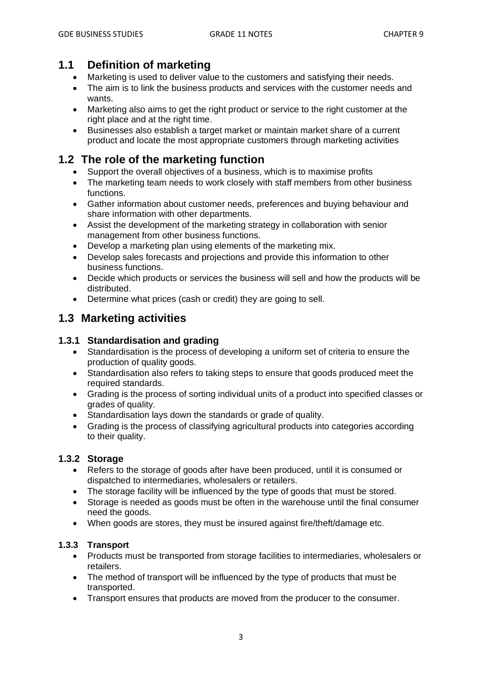# **1.1 Definition of marketing**

- Marketing is used to deliver value to the customers and satisfying their needs.
- The aim is to link the business products and services with the customer needs and wants.
- Marketing also aims to get the right product or service to the right customer at the right place and at the right time.
- Businesses also establish a target market or maintain market share of a current product and locate the most appropriate customers through marketing activities

# **1.2 The role of the marketing function**

- Support the overall objectives of a business, which is to maximise profits
- The marketing team needs to work closely with staff members from other business functions.
- Gather information about customer needs, preferences and buying behaviour and share information with other departments.
- Assist the development of the marketing strategy in collaboration with senior management from other business functions.
- Develop a marketing plan using elements of the marketing mix.
- Develop sales forecasts and projections and provide this information to other business functions.
- Decide which products or services the business will sell and how the products will be distributed.
- Determine what prices (cash or credit) they are going to sell.

# **1.3 Marketing activities**

### **1.3.1 Standardisation and grading**

- Standardisation is the process of developing a uniform set of criteria to ensure the production of quality goods.
- Standardisation also refers to taking steps to ensure that goods produced meet the required standards.
- Grading is the process of sorting individual units of a product into specified classes or grades of quality.
- Standardisation lays down the standards or grade of quality.
- Grading is the process of classifying agricultural products into categories according to their quality.

### **1.3.2 Storage**

- Refers to the storage of goods after have been produced, until it is consumed or dispatched to intermediaries, wholesalers or retailers.
- The storage facility will be influenced by the type of goods that must be stored.
- Storage is needed as goods must be often in the warehouse until the final consumer need the goods.
- When goods are stores, they must be insured against fire/theft/damage etc.

### **1.3.3 Transport**

- Products must be transported from storage facilities to intermediaries, wholesalers or retailers.
- The method of transport will be influenced by the type of products that must be transported.
- Transport ensures that products are moved from the producer to the consumer.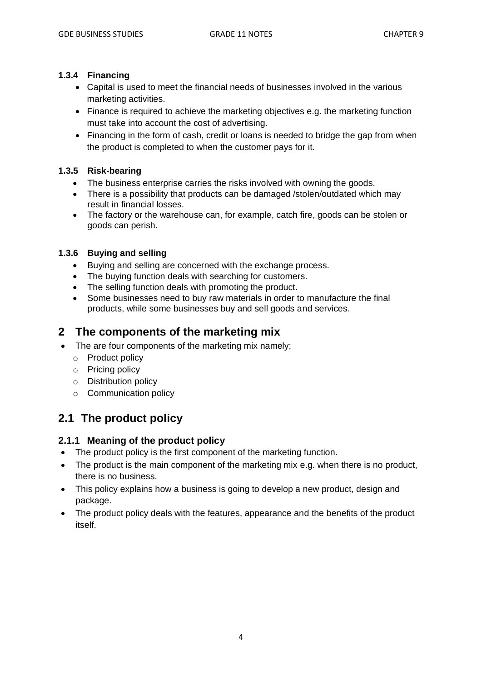#### **1.3.4 Financing**

- Capital is used to meet the financial needs of businesses involved in the various marketing activities.
- Finance is required to achieve the marketing objectives e.g. the marketing function must take into account the cost of advertising.
- Financing in the form of cash, credit or loans is needed to bridge the gap from when the product is completed to when the customer pays for it.

### **1.3.5 Risk-bearing**

- The business enterprise carries the risks involved with owning the goods.
- There is a possibility that products can be damaged /stolen/outdated which may result in financial losses.
- The factory or the warehouse can, for example, catch fire, goods can be stolen or goods can perish.

### **1.3.6 Buying and selling**

- Buying and selling are concerned with the exchange process.
- The buying function deals with searching for customers.
- The selling function deals with promoting the product.
- Some businesses need to buy raw materials in order to manufacture the final products, while some businesses buy and sell goods and services.

## **2 The components of the marketing mix**

- The are four components of the marketing mix namely;
	- o Product policy
	- o Pricing policy
	- o Distribution policy
	- o Communication policy

# **2.1 The product policy**

### **2.1.1 Meaning of the product policy**

- The product policy is the first component of the marketing function.
- The product is the main component of the marketing mix e.g. when there is no product, there is no business.
- This policy explains how a business is going to develop a new product, design and package.
- The product policy deals with the features, appearance and the benefits of the product itself.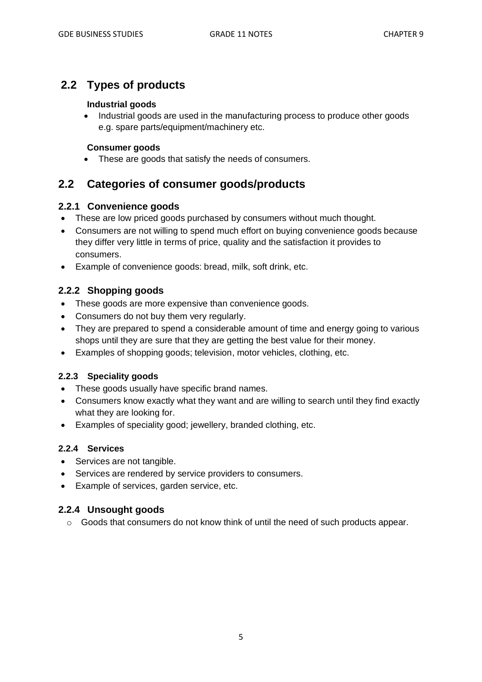# **2.2 Types of products**

#### **Industrial goods**

• Industrial goods are used in the manufacturing process to produce other goods e.g. spare parts/equipment/machinery etc.

#### **Consumer goods**

• These are goods that satisfy the needs of consumers.

## **2.2 Categories of consumer goods/products**

## **2.2.1 Convenience goods**

- These are low priced goods purchased by consumers without much thought.
- Consumers are not willing to spend much effort on buying convenience goods because they differ very little in terms of price, quality and the satisfaction it provides to consumers.
- Example of convenience goods: bread, milk, soft drink, etc.

## **2.2.2 Shopping goods**

- These goods are more expensive than convenience goods.
- Consumers do not buy them very regularly.
- They are prepared to spend a considerable amount of time and energy going to various shops until they are sure that they are getting the best value for their money.
- Examples of shopping goods; television, motor vehicles, clothing, etc.

### **2.2.3 Speciality goods**

- These goods usually have specific brand names.
- Consumers know exactly what they want and are willing to search until they find exactly what they are looking for.
- Examples of speciality good; jewellery, branded clothing, etc.

### **2.2.4 Services**

- Services are not tangible.
- Services are rendered by service providers to consumers.
- Example of services, garden service, etc.

### **2.2.4 Unsought goods**

 $\circ$  Goods that consumers do not know think of until the need of such products appear.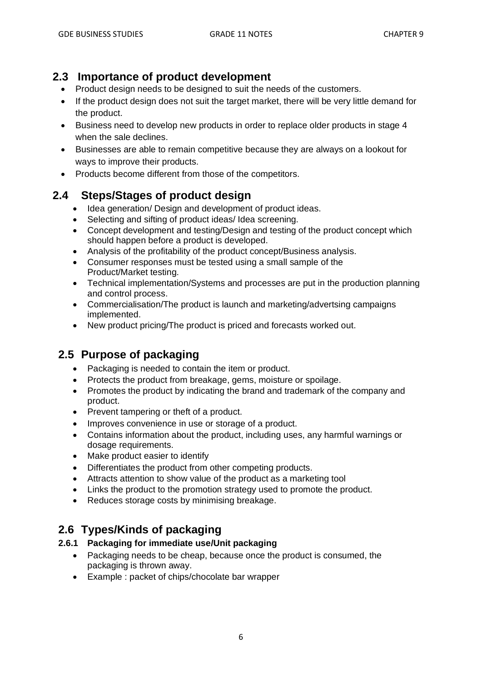## **2.3 Importance of product development**

- Product design needs to be designed to suit the needs of the customers.
- If the product design does not suit the target market, there will be very little demand for the product.
- Business need to develop new products in order to replace older products in stage 4 when the sale declines.
- Businesses are able to remain competitive because they are always on a lookout for ways to improve their products.
- Products become different from those of the competitors.

# **2.4 Steps/Stages of product design**

- Idea generation/ Design and development of product ideas.
- Selecting and sifting of product ideas/ Idea screening.
- Concept development and testing/Design and testing of the product concept which should happen before a product is developed.
- Analysis of the profitability of the product concept/Business analysis.
- Consumer responses must be tested using a small sample of the Product/Market testing.
- Technical implementation/Systems and processes are put in the production planning and control process.
- Commercialisation/The product is launch and marketing/advertsing campaigns implemented.
- New product pricing/The product is priced and forecasts worked out.

# **2.5 Purpose of packaging**

- Packaging is needed to contain the item or product.
- Protects the product from breakage, gems, moisture or spoilage.
- Promotes the product by indicating the brand and trademark of the company and product.
- Prevent tampering or theft of a product.
- Improves convenience in use or storage of a product.
- Contains information about the product, including uses, any harmful warnings or dosage requirements.
- Make product easier to identify
- Differentiates the product from other competing products.
- Attracts attention to show value of the product as a marketing tool
- Links the product to the promotion strategy used to promote the product.
- Reduces storage costs by minimising breakage.

# **2.6 Types/Kinds of packaging**

## **2.6.1 Packaging for immediate use/Unit packaging**

- Packaging needs to be cheap, because once the product is consumed, the packaging is thrown away.
- Example : packet of chips/chocolate bar wrapper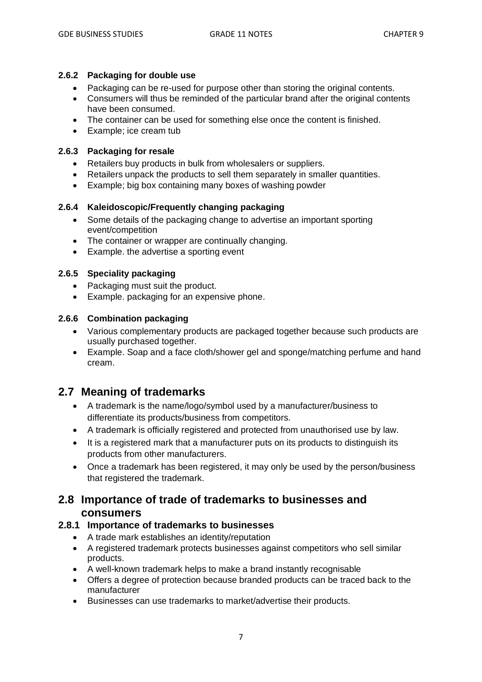#### **2.6.2 Packaging for double use**

- Packaging can be re-used for purpose other than storing the original contents.
- Consumers will thus be reminded of the particular brand after the original contents have been consumed.
- The container can be used for something else once the content is finished.
- Example; ice cream tub

#### **2.6.3 Packaging for resale**

- Retailers buy products in bulk from wholesalers or suppliers.
- Retailers unpack the products to sell them separately in smaller quantities.
- Example; big box containing many boxes of washing powder

### **2.6.4 Kaleidoscopic/Frequently changing packaging**

- Some details of the packaging change to advertise an important sporting event/competition
- The container or wrapper are continually changing.
- Example. the advertise a sporting event

### **2.6.5 Speciality packaging**

- Packaging must suit the product.
- Example. packaging for an expensive phone.

#### **2.6.6 Combination packaging**

- Various complementary products are packaged together because such products are usually purchased together.
- Example. Soap and a face cloth/shower gel and sponge/matching perfume and hand cream.

## **2.7 Meaning of trademarks**

- A trademark is the name/logo/symbol used by a manufacturer/business to differentiate its products/business from competitors.
- A trademark is officially registered and protected from unauthorised use by law.
- It is a registered mark that a manufacturer puts on its products to distinguish its products from other manufacturers.
- Once a trademark has been registered, it may only be used by the person/business that registered the trademark.

## **2.8 Importance of trade of trademarks to businesses and consumers**

### **2.8.1 Importance of trademarks to businesses**

- A trade mark establishes an identity/reputation
- A registered trademark protects businesses against competitors who sell similar products.
- A well-known trademark helps to make a brand instantly recognisable
- Offers a degree of protection because branded products can be traced back to the manufacturer
- Businesses can use trademarks to market/advertise their products.